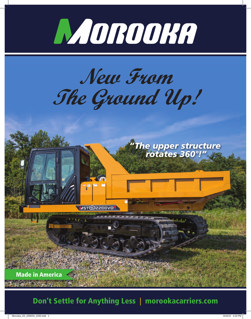

# *New From The Ground Up!*



Made in America TO LONGER WATERS

# Don't Settle for Anything Less | morookacarriers.com

AST@2200VDR